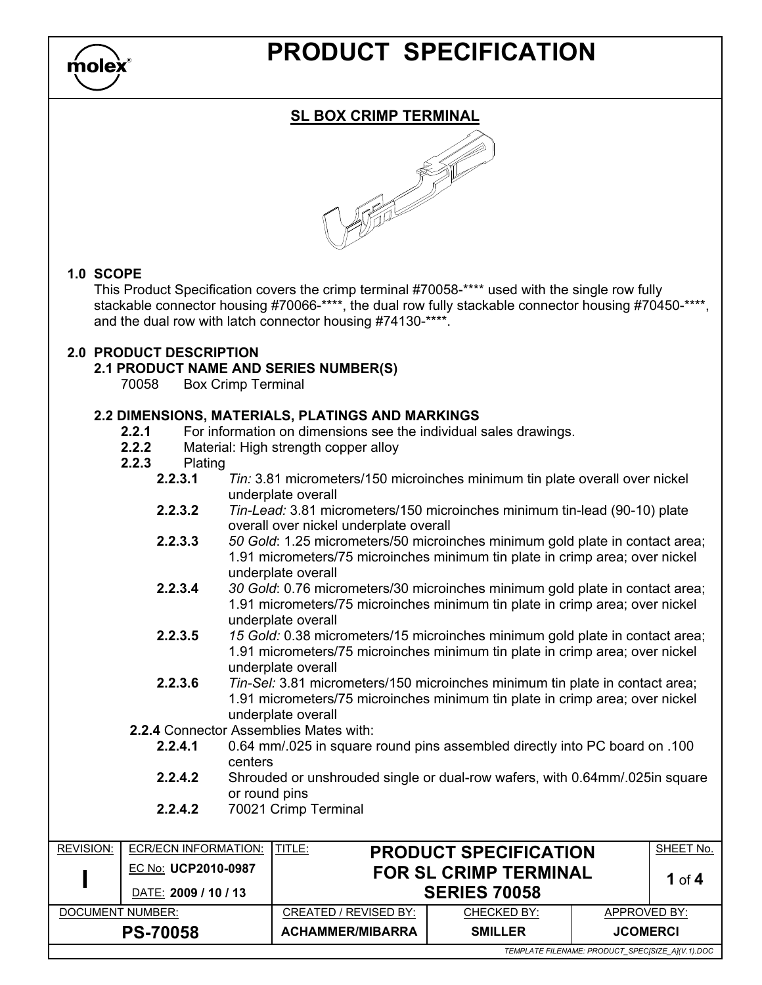

## PRODUCT SPECIFICATION

## SL BOX CRIMP TERMINAL

#### 1.0 SCOPE

This Product Specification covers the crimp terminal #70058-\*\*\*\* used with the single row fully stackable connector housing #70066-\*\*\*\*, the dual row fully stackable connector housing #70450-\*\*\*\*, and the dual row with latch connector housing #74130-\*\*\*\*.

#### 2.0 PRODUCT DESCRIPTION

#### 2.1 PRODUCT NAME AND SERIES NUMBER(S)

70058 Box Crimp Terminal

#### 2.2 DIMENSIONS, MATERIALS, PLATINGS AND MARKINGS

- 2.2.1 For information on dimensions see the individual sales drawings.
- 2.2.2 Material: High strength copper alloy<br>2.2.3 Plating
- Plating<br>**2.2.3.1** 
	- Tin: 3.81 micrometers/150 microinches minimum tin plate overall over nickel underplate overall
	- 2.2.3.2 Tin-Lead: 3.81 micrometers/150 microinches minimum tin-lead (90-10) plate overall over nickel underplate overall
	- 2.2.3.3 50 Gold: 1.25 micrometers/50 microinches minimum gold plate in contact area; 1.91 micrometers/75 microinches minimum tin plate in crimp area; over nickel underplate overall
	- 2.2.3.4 30 Gold: 0.76 micrometers/30 microinches minimum gold plate in contact area; 1.91 micrometers/75 microinches minimum tin plate in crimp area; over nickel underplate overall
	- 2.2.3.5 15 Gold: 0.38 micrometers/15 microinches minimum gold plate in contact area; 1.91 micrometers/75 microinches minimum tin plate in crimp area; over nickel underplate overall
	- 2.2.3.6 Tin-Sel: 3.81 micrometers/150 microinches minimum tin plate in contact area; 1.91 micrometers/75 microinches minimum tin plate in crimp area; over nickel underplate overall
	- 2.2.4 Connector Assemblies Mates with:
		- 2.2.4.1 0.64 mm/.025 in square round pins assembled directly into PC board on .100 centers
		- 2.2.4.2 Shrouded or unshrouded single or dual-row wafers, with 0.64mm/.025in square or round pins
		- 2.2.4.2 70021 Crimp Terminal

| <b>REVISION:</b>                                 | ECR/ECN INFORMATION: | TITLE:                       | <b>PRODUCT SPECIFICATION</b> |                 | SHEET No. |
|--------------------------------------------------|----------------------|------------------------------|------------------------------|-----------------|-----------|
|                                                  | EC No: UCP2010-0987  | <b>FOR SL CRIMP TERMINAL</b> |                              |                 | 1 of $4$  |
|                                                  | DATE: 2009 / 10 / 13 |                              | <b>SERIES 70058</b>          |                 |           |
| DOCUMENT NUMBER:                                 |                      | CREATED / REVISED BY:        | CHECKED BY:                  | APPROVED BY:    |           |
| <b>PS-70058</b>                                  |                      | <b>ACHAMMER/MIBARRA</b>      | <b>SMILLER</b>               | <b>JCOMERCI</b> |           |
| TEMPLATE FILENAME: PRODUCT_SPEC[SIZE_A](V.1).DOC |                      |                              |                              |                 |           |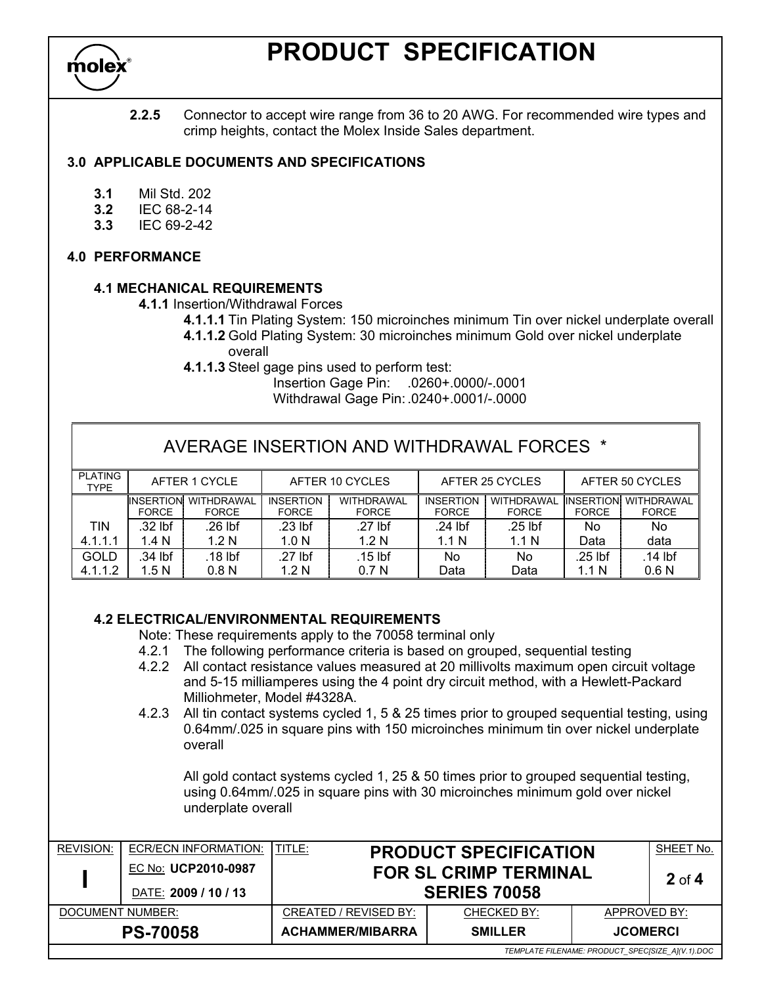

## PRODUCT SPECIFICATION

2.2.5 Connector to accept wire range from 36 to 20 AWG. For recommended wire types and crimp heights, contact the Molex Inside Sales department.

#### 3.0 APPLICABLE DOCUMENTS AND SPECIFICATIONS

- 3.1 Mil Std. 202
- 3.2 IEC 68-2-14
- 3.3 IEC 69-2-42

#### 4.0 PERFORMANCE

#### 4.1 MECHANICAL REQUIREMENTS

4.1.1 Insertion/Withdrawal Forces

- 4.1.1.1 Tin Plating System: 150 microinches minimum Tin over nickel underplate overall
- 4.1.1.2 Gold Plating System: 30 microinches minimum Gold over nickel underplate overall
- 4.1.1.3 Steel gage pins used to perform test:
	- Insertion Gage Pin: .0260+.0000/-.0001
	- Withdrawal Gage Pin: .0240+.0001/-.0000

| AVERAGE INSERTION AND WITHDRAWAL FORCES * |                                                                        |                            |                                  |                            |                                  |                            |                                  |                            |
|-------------------------------------------|------------------------------------------------------------------------|----------------------------|----------------------------------|----------------------------|----------------------------------|----------------------------|----------------------------------|----------------------------|
| <b>PLATING</b><br><b>TYPE</b>             | AFTER 1 CYCLE<br>AFTER 25 CYCLES<br>AFTER 50 CYCLES<br>AFTER 10 CYCLES |                            |                                  |                            |                                  |                            |                                  |                            |
|                                           | <b>INSERTION</b><br><b>FORCE</b>                                       | WITHDRAWAL<br><b>FORCE</b> | <b>INSERTION</b><br><b>FORCE</b> | WITHDRAWAL<br><b>FORCE</b> | <b>INSERTION</b><br><b>FORCE</b> | WITHDRAWAL<br><b>FORCE</b> | <b>INSERTION</b><br><b>FORCE</b> | WITHDRAWAL<br><b>FORCE</b> |
| <b>TIN</b>                                | .32 lbf                                                                | .26 lbf                    | $.23$ lbf                        | $.27$ lbf                  | .24 lbf                          | $.25$ lbf                  | No                               | No                         |
| 4.1.1.1                                   | 1.4 N                                                                  | 1.2 <sub>N</sub>           | 1.0 <sub>N</sub>                 | 1.2 <sub>N</sub>           | 1.1 N                            | 1.1 <sub>N</sub>           | Data                             | data                       |
| GOLD                                      | .34 lbf                                                                | .18 lbf                    | .27 lbf                          | $.15$ lbf                  | No                               | No                         | .25 lbf                          | $.14$ lbf                  |
| 4.1.1.2                                   | 1.5N                                                                   | 0.8 <sub>N</sub>           | 1.2 N                            | 0.7 <sub>N</sub>           | Data                             | Data                       | 1.1 <sub>N</sub>                 | 0.6 <sub>N</sub>           |

#### 4.2 ELECTRICAL/ENVIRONMENTAL REQUIREMENTS

Note: These requirements apply to the 70058 terminal only

- 4.2.1 The following performance criteria is based on grouped, sequential testing
- 4.2.2 All contact resistance values measured at 20 millivolts maximum open circuit voltage and 5-15 milliamperes using the 4 point dry circuit method, with a Hewlett-Packard Milliohmeter, Model #4328A.
- 4.2.3 All tin contact systems cycled 1, 5 & 25 times prior to grouped sequential testing, using 0.64mm/.025 in square pins with 150 microinches minimum tin over nickel underplate overall

 All gold contact systems cycled 1, 25 & 50 times prior to grouped sequential testing, using 0.64mm/.025 in square pins with 30 microinches minimum gold over nickel underplate overall

| <b>REVISION:</b> | ECR/ECN INFORMATION:<br>EC No: UCP2010-0987 | TITLE:<br><b>PRODUCT SPECIFICATION</b><br><b>FOR SL CRIMP TERMINAL</b> |                     |                                                  | SHEET No.<br>$2$ of 4 |  |
|------------------|---------------------------------------------|------------------------------------------------------------------------|---------------------|--------------------------------------------------|-----------------------|--|
|                  | DATE: 2009 / 10 / 13                        |                                                                        | <b>SERIES 70058</b> |                                                  |                       |  |
| DOCUMENT NUMBER: |                                             | CREATED / REVISED BY:                                                  | CHECKED BY:         | APPROVED BY:                                     |                       |  |
|                  | <b>PS-70058</b>                             | <b>ACHAMMER/MIBARRA</b>                                                | <b>SMILLER</b>      | <b>JCOMERCI</b>                                  |                       |  |
|                  |                                             |                                                                        |                     | TEMPLATE FILENAME: PRODUCT SPECISIZE A1(V.1).DOC |                       |  |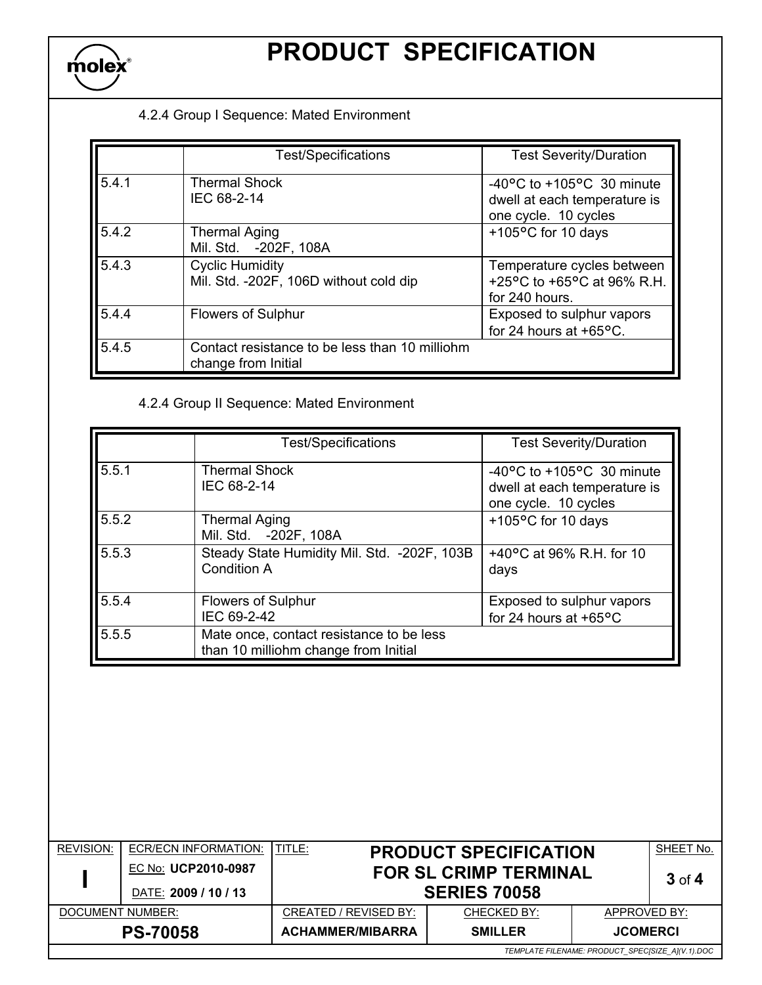

# PRODUCT SPECIFICATION

### 4.2.4 Group I Sequence: Mated Environment

|       | <b>Test/Specifications</b>                                            | <b>Test Severity/Duration</b>                                                                         |
|-------|-----------------------------------------------------------------------|-------------------------------------------------------------------------------------------------------|
| 5.4.1 | <b>Thermal Shock</b><br>IEC 68-2-14                                   | -40 $\degree$ C to +105 $\degree$ C 30 minute<br>dwell at each temperature is<br>one cycle. 10 cycles |
| 5.4.2 | <b>Thermal Aging</b><br>Mil. Std. - 202F, 108A                        | +105°C for 10 days                                                                                    |
| 5.4.3 | <b>Cyclic Humidity</b><br>Mil. Std. - 202F, 106D without cold dip     | Temperature cycles between<br>+25°C to +65°C at 96% R.H.<br>for 240 hours.                            |
| 5.4.4 | <b>Flowers of Sulphur</b>                                             | Exposed to sulphur vapors<br>for 24 hours at $+65$ °C.                                                |
| 5.4.5 | Contact resistance to be less than 10 milliohm<br>change from Initial |                                                                                                       |

## 4.2.4 Group II Sequence: Mated Environment

|       | <b>Test/Specifications</b>                                                       | <b>Test Severity/Duration</b>                                                                         |
|-------|----------------------------------------------------------------------------------|-------------------------------------------------------------------------------------------------------|
| 5.5.1 | <b>Thermal Shock</b><br>IEC 68-2-14                                              | -40 $\degree$ C to +105 $\degree$ C 30 minute<br>dwell at each temperature is<br>one cycle. 10 cycles |
| 5.5.2 | <b>Thermal Aging</b><br>Mil. Std. - 202F, 108A                                   | +105°C for 10 days                                                                                    |
| 5.5.3 | Steady State Humidity Mil. Std. - 202F, 103B<br><b>Condition A</b>               | +40 $^{\circ}$ C at 96% R.H. for 10<br>days                                                           |
| 5.5.4 | Flowers of Sulphur<br>IEC 69-2-42                                                | Exposed to sulphur vapors<br>for 24 hours at +65°C                                                    |
| 5.5.5 | Mate once, contact resistance to be less<br>than 10 milliohm change from Initial |                                                                                                       |

| <b>REVISION:</b>                                 | <b>ECR/ECN INFORMATION:</b> | TITLE:                  | <b>PRODUCT SPECIFICATION</b> |                 | SHEET No.  |
|--------------------------------------------------|-----------------------------|-------------------------|------------------------------|-----------------|------------|
|                                                  | EC No: UCP2010-0987         |                         | <b>FOR SL CRIMP TERMINAL</b> |                 | $3$ of $4$ |
|                                                  | DATE: 2009 / 10 / 13        | <b>SERIES 70058</b>     |                              |                 |            |
| DOCUMENT NUMBER:                                 |                             | CREATED / REVISED BY:   | CHECKED BY:                  | APPROVED BY:    |            |
|                                                  | <b>PS-70058</b>             | <b>ACHAMMER/MIBARRA</b> | <b>SMILLER</b>               | <b>JCOMERCI</b> |            |
| TEMPLATE FILENAME: PRODUCT_SPEC[SIZE_A](V.1).DOC |                             |                         |                              |                 |            |